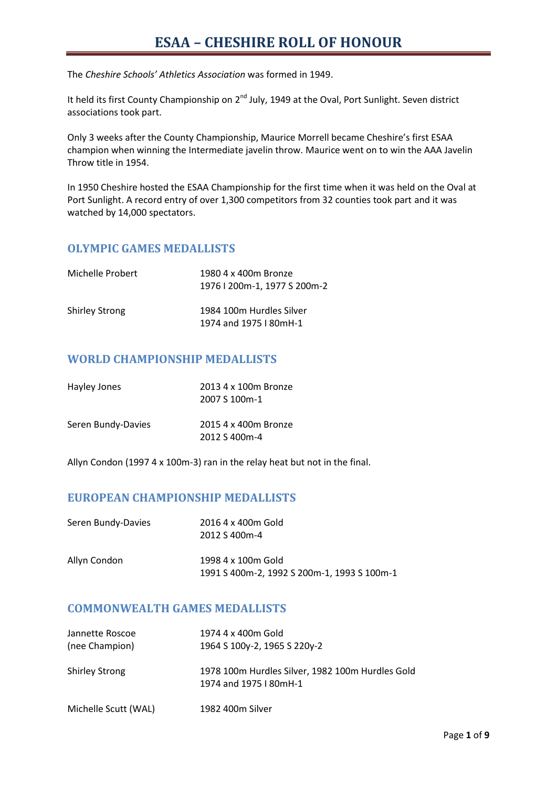# **ESAA – CHESHIRE ROLL OF HONOUR**

The *Cheshire Schools' Athletics Association* was formed in 1949.

It held its first County Championship on 2<sup>nd</sup> July, 1949 at the Oval, Port Sunlight. Seven district associations took part.

Only 3 weeks after the County Championship, Maurice Morrell became Cheshire's first ESAA champion when winning the Intermediate javelin throw. Maurice went on to win the AAA Javelin Throw title in 1954.

In 1950 Cheshire hosted the ESAA Championship for the first time when it was held on the Oval at Port Sunlight. A record entry of over 1,300 competitors from 32 counties took part and it was watched by 14,000 spectators.

#### **OLYMPIC GAMES MEDALLISTS**

| Michelle Probert      | 1980 4 x 400m Bronze<br>1976   200m-1, 1977 S 200m-2 |
|-----------------------|------------------------------------------------------|
| <b>Shirley Strong</b> | 1984 100m Hurdles Silver<br>1974 and 1975   80mH-1   |

### **WORLD CHAMPIONSHIP MEDALLISTS**

| Hayley Jones       | 2013 4 x 100m Bronze<br>2007 S 100m-1 |
|--------------------|---------------------------------------|
| Seren Bundy-Davies | 2015 4 x 400m Bronze<br>2012 S 400m-4 |

Allyn Condon (1997 4 x 100m-3) ran in the relay heat but not in the final.

### **EUROPEAN CHAMPIONSHIP MEDALLISTS**

| Seren Bundy-Davies | 2016 4 x 400m Gold<br>2012 S 400m-4                               |
|--------------------|-------------------------------------------------------------------|
| Allyn Condon       | 1998 4 x 100m Gold<br>1991 S 400m-2, 1992 S 200m-1, 1993 S 100m-1 |

### **COMMONWEALTH GAMES MEDALLISTS**

| Jannette Roscoe       | 1974 4 x 400m Gold                               |
|-----------------------|--------------------------------------------------|
| (nee Champion)        | 1964 S 100y-2, 1965 S 220y-2                     |
|                       |                                                  |
| <b>Shirley Strong</b> | 1978 100m Hurdles Silver, 1982 100m Hurdles Gold |
|                       | 1974 and 1975   80mH-1                           |
|                       |                                                  |
| Michelle Scutt (WAL)  | 1982 400m Silver                                 |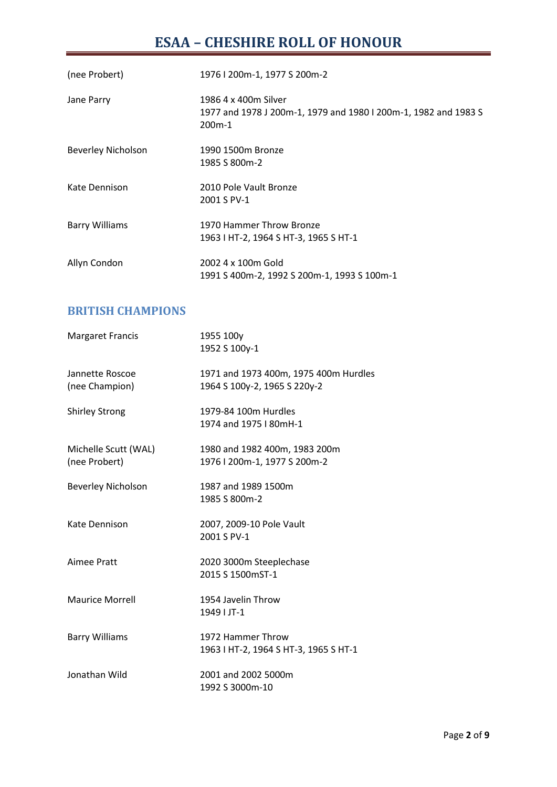# **ESAA – CHESHIRE ROLL OF HONOUR**

| (nee Probert)             | 1976   200m-1, 1977 S 200m-2                                                                                   |
|---------------------------|----------------------------------------------------------------------------------------------------------------|
| Jane Parry                | 1986 4 x 400m Silver<br>1977 and 1978 J 200m-1, 1979 and 1980 I 200m-1, 1982 and 1983 S<br>200 <sub>m</sub> -1 |
| <b>Beverley Nicholson</b> | 1990 1500m Bronze<br>1985 S 800 m-2                                                                            |
| Kate Dennison             | 2010 Pole Vault Bronze<br>2001 S PV-1                                                                          |
| <b>Barry Williams</b>     | 1970 Hammer Throw Bronze<br>1963   HT-2, 1964 S HT-3, 1965 S HT-1                                              |
| Allyn Condon              | 2002 4 x 100m Gold<br>1991 S 400m-2, 1992 S 200m-1, 1993 S 100m-1                                              |

# **BRITISH CHAMPIONS**

| <b>Margaret Francis</b>               | 1955 100y<br>1952 S 100y-1                                            |
|---------------------------------------|-----------------------------------------------------------------------|
| Jannette Roscoe<br>(nee Champion)     | 1971 and 1973 400m, 1975 400m Hurdles<br>1964 S 100y-2, 1965 S 220y-2 |
| <b>Shirley Strong</b>                 | 1979-84 100m Hurdles<br>1974 and 1975   80mH-1                        |
| Michelle Scutt (WAL)<br>(nee Probert) | 1980 and 1982 400m, 1983 200m<br>1976   200m-1, 1977 S 200m-2         |
| <b>Beverley Nicholson</b>             | 1987 and 1989 1500m<br>1985 S 800m-2                                  |
| Kate Dennison                         | 2007, 2009-10 Pole Vault<br>2001 S PV-1                               |
| Aimee Pratt                           | 2020 3000m Steeplechase<br>2015 S 1500mST-1                           |
| <b>Maurice Morrell</b>                | 1954 Javelin Throw<br>1949   JT-1                                     |
| <b>Barry Williams</b>                 | 1972 Hammer Throw<br>1963   HT-2, 1964 S HT-3, 1965 S HT-1            |
| Jonathan Wild                         | 2001 and 2002 5000m<br>1992 S 3000m-10                                |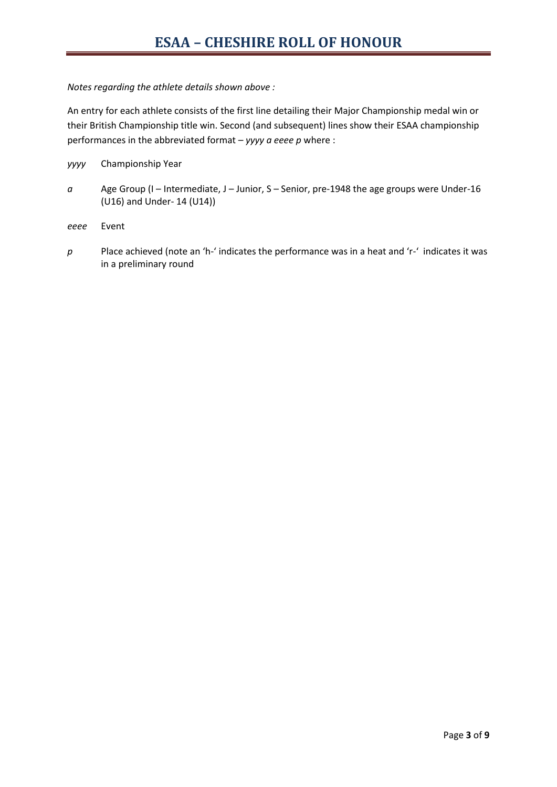#### *Notes regarding the athlete details shown above :*

An entry for each athlete consists of the first line detailing their Major Championship medal win or their British Championship title win. Second (and subsequent) lines show their ESAA championship performances in the abbreviated format – *yyyy a eeee p* where :

- *yyyy* Championship Year
- *a* Age Group (I Intermediate, J Junior, S Senior, pre-1948 the age groups were Under-16 (U16) and Under- 14 (U14))
- *eeee* Event
- *p* Place achieved (note an 'h-' indicates the performance was in a heat and 'r-' indicates it was in a preliminary round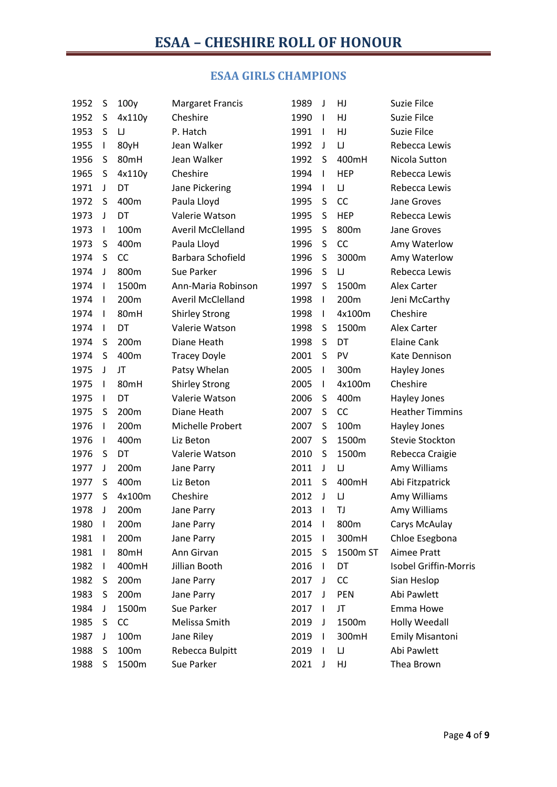# **ESAA GIRLS CHAMPIONS**

| 1952 | S            | 100y      | <b>Margaret Francis</b>  | 1989 | $\mathsf J$    | HJ         | Suzie Filce            |
|------|--------------|-----------|--------------------------|------|----------------|------------|------------------------|
| 1952 | S            | 4x110y    | Cheshire                 | 1990 | $\mathbf{I}$   | HJ         | Suzie Filce            |
| 1953 | S            | $\cup$    | P. Hatch                 | 1991 | $\mathbf{I}$   | HJ         | Suzie Filce            |
| 1955 | $\mathsf I$  | 80yH      | Jean Walker              | 1992 | J              | IJ         | Rebecca Lewis          |
| 1956 | S            | 80mH      | Jean Walker              | 1992 | S              | 400mH      | Nicola Sutton          |
| 1965 | S            | 4x110y    | Cheshire                 | 1994 | $\mathbf{I}$   | <b>HEP</b> | Rebecca Lewis          |
| 1971 | J            | DT        | Jane Pickering           | 1994 | $\mathbf{I}$   | $\sqcup$   | Rebecca Lewis          |
| 1972 | S            | 400m      | Paula Lloyd              | 1995 | S              | CC         | Jane Groves            |
| 1973 | J            | DT        | Valerie Watson           | 1995 | S              | <b>HEP</b> | Rebecca Lewis          |
| 1973 | $\mathbf{I}$ | 100m      | <b>Averil McClelland</b> | 1995 | S              | 800m       | Jane Groves            |
| 1973 | S            | 400m      | Paula Lloyd              | 1996 | S              | CC         | Amy Waterlow           |
| 1974 | S            | <b>CC</b> | Barbara Schofield        | 1996 | S              | 3000m      | Amy Waterlow           |
| 1974 | J            | 800m      | Sue Parker               | 1996 | S              | IJ         | Rebecca Lewis          |
| 1974 | $\mathbf{I}$ | 1500m     | Ann-Maria Robinson       | 1997 | S              | 1500m      | <b>Alex Carter</b>     |
| 1974 | $\mathbf{I}$ | 200m      | <b>Averil McClelland</b> | 1998 | $\mathbf{I}$   | 200m       | Jeni McCarthy          |
| 1974 | $\mathbf{I}$ | 80mH      | <b>Shirley Strong</b>    | 1998 | $\mathbf{I}$   | 4x100m     | Cheshire               |
| 1974 | $\mathbf{I}$ | DT        | Valerie Watson           | 1998 | S              | 1500m      | Alex Carter            |
| 1974 | S            | 200m      | Diane Heath              | 1998 | S              | DT         | <b>Elaine Cank</b>     |
| 1974 | S            | 400m      | <b>Tracey Doyle</b>      | 2001 | S              | PV         | Kate Dennison          |
| 1975 | J            | JT        | Patsy Whelan             | 2005 | T              | 300m       | Hayley Jones           |
| 1975 | $\mathbf{I}$ | 80mH      | <b>Shirley Strong</b>    | 2005 | $\mathbf{I}$   | 4x100m     | Cheshire               |
| 1975 | $\mathbf{I}$ | DT        | Valerie Watson           | 2006 | S              | 400m       | Hayley Jones           |
| 1975 | S            | 200m      | Diane Heath              | 2007 | S              | CC         | <b>Heather Timmins</b> |
| 1976 | T            | 200m      | Michelle Probert         | 2007 | S              | 100m       | Hayley Jones           |
| 1976 | $\mathbf{I}$ | 400m      | Liz Beton                | 2007 | S              | 1500m      | Stevie Stockton        |
| 1976 | S            | DT        | Valerie Watson           | 2010 | S              | 1500m      | Rebecca Craigie        |
| 1977 | J            | 200m      | Jane Parry               | 2011 | J              | IJ         | Amy Williams           |
| 1977 | S            | 400m      | Liz Beton                | 2011 | S              | 400mH      | Abi Fitzpatrick        |
| 1977 | S            | 4x100m    | Cheshire                 | 2012 | J              | IJ         | Amy Williams           |
| 1978 | J            | 200m      | Jane Parry               | 2013 | $\mathbf{I}$   | TJ         | Amy Williams           |
| 1980 | $\mathbf{I}$ | 200m      | Jane Parry               | 2014 | $\overline{1}$ | 800m       | Carys McAulay          |
| 1981 | I            | 200m      | Jane Parry               | 2015 | $\mathbf{I}$   | 300mH      | Chloe Esegbona         |
| 1981 | J.           | 80mH      | Ann Girvan               | 2015 | S              | 1500m ST   | <b>Aimee Pratt</b>     |
| 1982 | I            | 400mH     | Jillian Booth            | 2016 | $\mathbf{I}$   | DT         | Isobel Griffin-Morris  |
| 1982 | S            | 200m      | Jane Parry               | 2017 | J              | CC         | Sian Heslop            |
| 1983 | S            | 200m      | Jane Parry               | 2017 | J              | <b>PEN</b> | Abi Pawlett            |
| 1984 | J            | 1500m     | Sue Parker               | 2017 | $\mathbf{I}$   | JT         | Emma Howe              |
| 1985 | S            | CC        | Melissa Smith            | 2019 | J              | 1500m      | <b>Holly Weedall</b>   |
| 1987 | J            | 100m      | Jane Riley               | 2019 | $\mathbf{I}$   | 300mH      | <b>Emily Misantoni</b> |
| 1988 | S            | 100m      | Rebecca Bulpitt          | 2019 | $\mathbf{I}$   | IJ         | Abi Pawlett            |
| 1988 | S            | 1500m     | Sue Parker               | 2021 | J              | HJ         | Thea Brown             |
|      |              |           |                          |      |                |            |                        |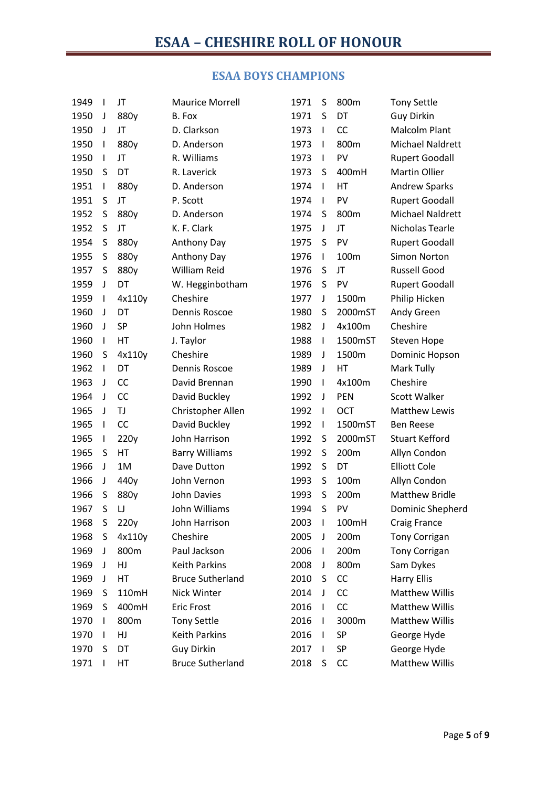# **ESAA BOYS CHAMPIONS**

| 1949 | $\mathbf{I}$ | JT        | <b>Maurice Morrell</b>  | 1971 | S            | 800m       | <b>Tony Settle</b>    |
|------|--------------|-----------|-------------------------|------|--------------|------------|-----------------------|
| 1950 | J            | 880y      | B. Fox                  | 1971 | S            | DT         | <b>Guy Dirkin</b>     |
| 1950 | J            | JT        | D. Clarkson             | 1973 | $\mathbf{I}$ | <b>CC</b>  | Malcolm Plant         |
| 1950 | $\mathbf{I}$ | 880y      | D. Anderson             | 1973 | $\mathbf{I}$ | 800m       | Michael Naldrett      |
| 1950 | $\mathbf{I}$ | JT        | R. Williams             | 1973 | $\mathsf{I}$ | PV         | <b>Rupert Goodall</b> |
| 1950 | S            | DT        | R. Laverick             | 1973 | S            | 400mH      | <b>Martin Ollier</b>  |
| 1951 | T            | 880y      | D. Anderson             | 1974 | $\mathbf{I}$ | HT         | <b>Andrew Sparks</b>  |
| 1951 | S            | JT        | P. Scott                | 1974 | $\mathbf{I}$ | PV         | <b>Rupert Goodall</b> |
| 1952 | S            | 880y      | D. Anderson             | 1974 | S            | 800m       | Michael Naldrett      |
| 1952 | S            | JT        | K. F. Clark             | 1975 | J            | JT         | Nicholas Tearle       |
| 1954 | S            | 880y      | Anthony Day             | 1975 | S            | PV         | <b>Rupert Goodall</b> |
| 1955 | S            | 880y      | Anthony Day             | 1976 | $\mathbf{I}$ | 100m       | <b>Simon Norton</b>   |
| 1957 | S            | 880y      | <b>William Reid</b>     | 1976 | S            | JT         | <b>Russell Good</b>   |
| 1959 | J            | DT        | W. Hegginbotham         | 1976 | S            | PV         | <b>Rupert Goodall</b> |
| 1959 | $\mathbf{I}$ | 4x110y    | Cheshire                | 1977 | J            | 1500m      | Philip Hicken         |
| 1960 | J            | DT        | Dennis Roscoe           | 1980 | S            | 2000mST    | Andy Green            |
| 1960 | J            | <b>SP</b> | John Holmes             | 1982 | J            | 4x100m     | Cheshire              |
| 1960 | T            | HT        | J. Taylor               | 1988 | $\mathbf{I}$ | 1500mST    | <b>Steven Hope</b>    |
| 1960 | S            | 4x110y    | Cheshire                | 1989 | J            | 1500m      | Dominic Hopson        |
| 1962 | I            | DT        | Dennis Roscoe           | 1989 | J            | HT         | Mark Tully            |
| 1963 | J            | <b>CC</b> | David Brennan           | 1990 | $\mathbf{I}$ | 4x100m     | Cheshire              |
| 1964 | J            | <b>CC</b> | David Buckley           | 1992 | J            | PEN        | <b>Scott Walker</b>   |
| 1965 | J            | TJ        | Christopher Allen       | 1992 | T            | <b>OCT</b> | <b>Matthew Lewis</b>  |
| 1965 | I            | <b>CC</b> | David Buckley           | 1992 | $\mathbf{I}$ | 1500mST    | <b>Ben Reese</b>      |
| 1965 | T            | 220y      | John Harrison           | 1992 | S            | 2000mST    | <b>Stuart Kefford</b> |
| 1965 | S            | HT        | <b>Barry Williams</b>   | 1992 | S            | 200m       | Allyn Condon          |
| 1966 | J            | 1M        | Dave Dutton             | 1992 | S            | DT         | <b>Elliott Cole</b>   |
| 1966 | J            | 440y      | John Vernon             | 1993 | S            | 100m       | Allyn Condon          |
| 1966 | S            | 880y      | <b>John Davies</b>      | 1993 | S            | 200m       | <b>Matthew Bridle</b> |
| 1967 | S            | IJ        | John Williams           | 1994 | S            | PV         | Dominic Shepherd      |
| 1968 | S            | 220y      | John Harrison           | 2003 | L            | 100mH      | Craig France          |
| 1968 | S            | 4x110y    | Cheshire                | 2005 | J            | 200m       | <b>Tony Corrigan</b>  |
| 1969 | J            | 800m      | Paul Jackson            | 2006 | I.           | 200m       | <b>Tony Corrigan</b>  |
| 1969 | J            | HJ        | <b>Keith Parkins</b>    | 2008 | J            | 800m       | Sam Dykes             |
| 1969 | J            | HT        | <b>Bruce Sutherland</b> | 2010 | S            | CC         | <b>Harry Ellis</b>    |
| 1969 | S            | 110mH     | Nick Winter             | 2014 | J            | CC         | <b>Matthew Willis</b> |
| 1969 | S            | 400mH     | <b>Eric Frost</b>       | 2016 | $\mathbf{I}$ | CC         | <b>Matthew Willis</b> |
| 1970 | I            | 800m      | <b>Tony Settle</b>      | 2016 | I            | 3000m      | <b>Matthew Willis</b> |
| 1970 | $\mathbf{I}$ | HJ        | <b>Keith Parkins</b>    | 2016 | $\mathbf{I}$ | SP         | George Hyde           |
| 1970 | S            | DT        | <b>Guy Dirkin</b>       | 2017 | I.           | SP         | George Hyde           |
| 1971 | I            | HT        | <b>Bruce Sutherland</b> | 2018 | S            | CC         | <b>Matthew Willis</b> |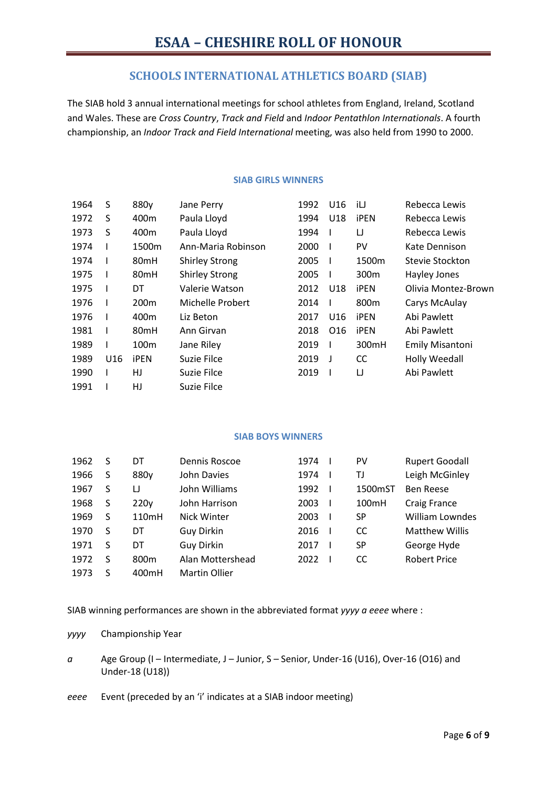### **SCHOOLS INTERNATIONAL ATHLETICS BOARD (SIAB)**

The SIAB hold 3 annual international meetings for school athletes from England, Ireland, Scotland and Wales. These are *Cross Country*, *Track and Field* and *Indoor Pentathlon Internationals*. A fourth championship, an *Indoor Track and Field International* meeting, was also held from 1990 to 2000.

#### **SIAB GIRLS WINNERS**

| 1964 | S   | 880y             | Jane Perry            | 1992 | U <sub>16</sub> | iIJ              | Rebecca Lewis          |
|------|-----|------------------|-----------------------|------|-----------------|------------------|------------------------|
| 1972 | S   | 400 <sub>m</sub> | Paula Lloyd           | 1994 | U18             | <b>iPEN</b>      | Rebecca Lewis          |
| 1973 | S   | 400m             | Paula Lloyd           | 1994 |                 | IJ               | Rebecca Lewis          |
| 1974 |     | 1500m            | Ann-Maria Robinson    | 2000 | H               | <b>PV</b>        | Kate Dennison          |
| 1974 |     | 80 <sub>mH</sub> | <b>Shirley Strong</b> | 2005 | H               | 1500m            | Stevie Stockton        |
| 1975 |     | 80 <sub>mH</sub> | <b>Shirley Strong</b> | 2005 | H               | 300 <sub>m</sub> | Hayley Jones           |
| 1975 |     | DT               | Valerie Watson        | 2012 | U18             | <b>iPEN</b>      | Olivia Montez-Brown    |
| 1976 | L   | 200 <sub>m</sub> | Michelle Probert      | 2014 | ı               | 800m             | Carys McAulay          |
| 1976 |     | 400m             | Liz Beton             | 2017 | U16             | <b>iPEN</b>      | Abi Pawlett            |
| 1981 |     | 80 <sub>mH</sub> | Ann Girvan            | 2018 | O <sub>16</sub> | <b>iPEN</b>      | Abi Pawlett            |
| 1989 |     | 100m             | Jane Riley            | 2019 |                 | 300mH            | <b>Emily Misantoni</b> |
| 1989 | U16 | <b>iPEN</b>      | Suzie Filce           | 2019 | J               | CC.              | <b>Holly Weedall</b>   |
| 1990 |     | HJ               | Suzie Filce           | 2019 |                 | IJ               | Abi Pawlett            |
| 1991 |     | HJ               | Suzie Filce           |      |                 |                  |                        |

#### **SIAB BOYS WINNERS**

| 1962 | S | DT               | Dennis Roscoe        | 1974 | PV      | <b>Rupert Goodall</b> |
|------|---|------------------|----------------------|------|---------|-----------------------|
| 1966 | S | 880y             | John Davies          | 1974 | TJ      | Leigh McGinley        |
| 1967 | S | IJ               | John Williams        | 1992 | 1500mST | <b>Ben Reese</b>      |
| 1968 | S | 220 <sub>V</sub> | John Harrison        | 2003 | 100mH   | Craig France          |
| 1969 | S | 110mH            | Nick Winter          | 2003 | SP      | William Lowndes       |
| 1970 | S | DT               | Guy Dirkin           | 2016 | CC      | <b>Matthew Willis</b> |
| 1971 | S | DT               | <b>Guy Dirkin</b>    | 2017 | SP      | George Hyde           |
| 1972 | S | 800 <sub>m</sub> | Alan Mottershead     | 2022 | CC.     | <b>Robert Price</b>   |
| 1973 | S | 400mH            | <b>Martin Ollier</b> |      |         |                       |

SIAB winning performances are shown in the abbreviated format *yyyy a eeee* where :

*yyyy* Championship Year

*a* Age Group (I – Intermediate, J – Junior, S – Senior, Under-16 (U16), Over-16 (O16) and Under-18 (U18))

*eeee* Event (preceded by an 'i' indicates at a SIAB indoor meeting)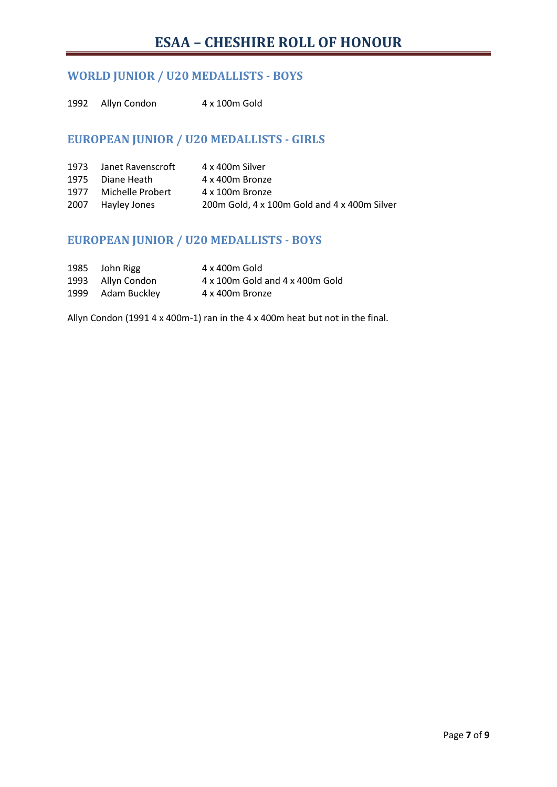## **WORLD JUNIOR / U20 MEDALLISTS - BOYS**

1992 Allyn Condon 4 x 100m Gold

## **EUROPEAN JUNIOR / U20 MEDALLISTS - GIRLS**

| 1973 Janet Ravenscroft | 4 x 400m Silver                              |
|------------------------|----------------------------------------------|
| 1975 Diane Heath       | 4 x 400m Bronze                              |
| 1977 Michelle Probert  | 4 x 100m Bronze                              |
| 2007 Hayley Jones      | 200m Gold, 4 x 100m Gold and 4 x 400m Silver |

### **EUROPEAN JUNIOR / U20 MEDALLISTS - BOYS**

| 1985 John Rigg    | 4 x 400m Gold                   |
|-------------------|---------------------------------|
| 1993 Allyn Condon | 4 x 100m Gold and 4 x 400m Gold |
| 1999 Adam Buckley | 4 x 400m Bronze                 |

Allyn Condon (1991 4 x 400m-1) ran in the 4 x 400m heat but not in the final.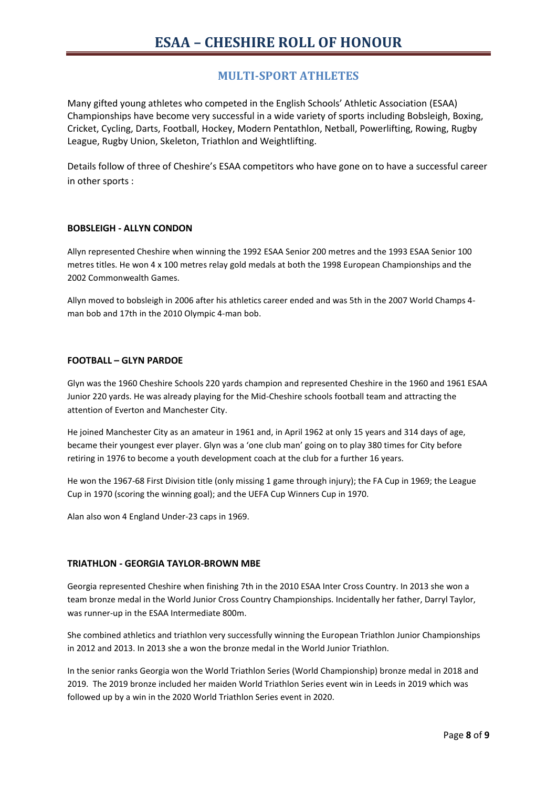### **MULTI-SPORT ATHLETES**

Many gifted young athletes who competed in the English Schools' Athletic Association (ESAA) Championships have become very successful in a wide variety of sports including Bobsleigh, Boxing, Cricket, Cycling, Darts, Football, Hockey, Modern Pentathlon, Netball, Powerlifting, Rowing, Rugby League, Rugby Union, Skeleton, Triathlon and Weightlifting.

Details follow of three of Cheshire's ESAA competitors who have gone on to have a successful career in other sports :

#### **BOBSLEIGH - ALLYN CONDON**

Allyn represented Cheshire when winning the 1992 ESAA Senior 200 metres and the 1993 ESAA Senior 100 metres titles. He won 4 x 100 metres relay gold medals at both the 1998 European Championships and the 2002 Commonwealth Games.

Allyn moved to bobsleigh in 2006 after his athletics career ended and was 5th in the 2007 World Champs 4 man bob and 17th in the 2010 Olympic 4-man bob.

#### **FOOTBALL – GLYN PARDOE**

Glyn was the 1960 Cheshire Schools 220 yards champion and represented Cheshire in the 1960 and 1961 ESAA Junior 220 yards. He was already playing for the Mid-Cheshire schools football team and attracting the attention of Everton and Manchester City.

He joined Manchester City as an amateur in 1961 and, in April 1962 at only 15 years and 314 days of age, became their youngest ever player. Glyn was a 'one club man' going on to play 380 times for City before retiring in 1976 to become a youth development coach at the club for a further 16 years.

He won the 1967-68 First Division title (only missing 1 game through injury); the FA Cup in 1969; the League Cup in 1970 (scoring the winning goal); and the UEFA Cup Winners Cup in 1970.

Alan also won 4 England Under-23 caps in 1969.

#### **TRIATHLON - GEORGIA TAYLOR-BROWN MBE**

Georgia represented Cheshire when finishing 7th in the 2010 ESAA Inter Cross Country. In 2013 she won a team bronze medal in the World Junior Cross Country Championships. Incidentally her father, Darryl Taylor, was runner-up in the ESAA Intermediate 800m.

She combined athletics and triathlon very successfully winning the European Triathlon Junior Championships in 2012 and 2013. In 2013 she a won the bronze medal in the World Junior Triathlon.

In the senior ranks Georgia won the World Triathlon Series (World Championship) bronze medal in 2018 and 2019. The 2019 bronze included her maiden World Triathlon Series event win in Leeds in 2019 which was followed up by a win in the 2020 World Triathlon Series event in 2020.